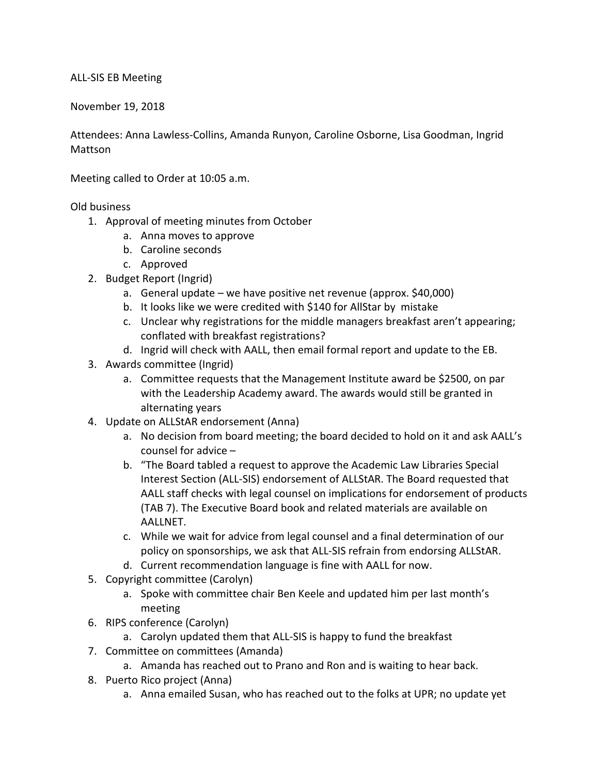## ALL-SIS EB Meeting

November 19, 2018

Attendees: Anna Lawless-Collins, Amanda Runyon, Caroline Osborne, Lisa Goodman, Ingrid Mattson

Meeting called to Order at 10:05 a.m.

## Old business

- 1. Approval of meeting minutes from October
	- a. Anna moves to approve
	- b. Caroline seconds
	- c. Approved
- 2. Budget Report (Ingrid)
	- a. General update we have positive net revenue (approx. \$40,000)
	- b. It looks like we were credited with \$140 for AllStar by mistake
	- c. Unclear why registrations for the middle managers breakfast aren't appearing; conflated with breakfast registrations?
	- d. Ingrid will check with AALL, then email formal report and update to the EB.
- 3. Awards committee (Ingrid)
	- a. Committee requests that the Management Institute award be \$2500, on par with the Leadership Academy award. The awards would still be granted in alternating years
- 4. Update on ALLStAR endorsement (Anna)
	- a. No decision from board meeting; the board decided to hold on it and ask AALL's counsel for advice –
	- b. "The Board tabled a request to approve the Academic Law Libraries Special Interest Section (ALL-SIS) endorsement of ALLStAR. The Board requested that AALL staff checks with legal counsel on implications for endorsement of products (TAB 7). The Executive Board book and related materials are available on AALLNET.
	- c. While we wait for advice from legal counsel and a final determination of our policy on sponsorships, we ask that ALL-SIS refrain from endorsing ALLStAR.
	- d. Current recommendation language is fine with AALL for now.
- 5. Copyright committee (Carolyn)
	- a. Spoke with committee chair Ben Keele and updated him per last month's meeting
- 6. RIPS conference (Carolyn)
	- a. Carolyn updated them that ALL-SIS is happy to fund the breakfast
- 7. Committee on committees (Amanda)
	- a. Amanda has reached out to Prano and Ron and is waiting to hear back.
- 8. Puerto Rico project (Anna)
	- a. Anna emailed Susan, who has reached out to the folks at UPR; no update yet